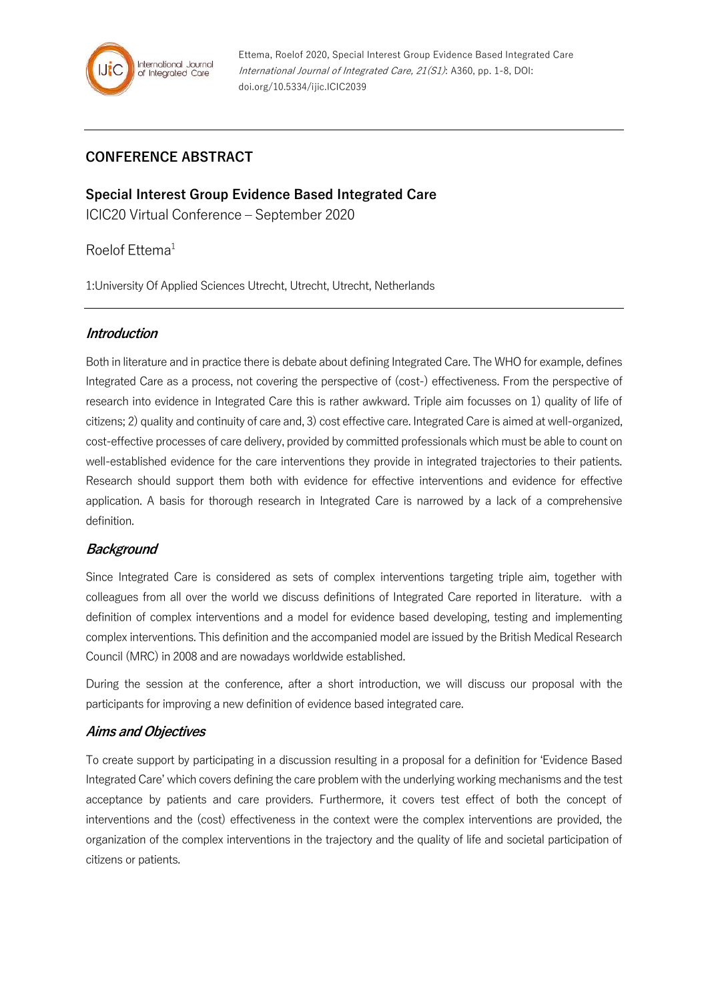

# **CONFERENCE ABSTRACT**

**Special Interest Group Evidence Based Integrated Care** ICIC20 Virtual Conference – September 2020

Roelof Ettema<sup>1</sup>

1:University Of Applied Sciences Utrecht, Utrecht, Utrecht, Netherlands

### **Introduction**

Both in literature and in practice there is debate about defining Integrated Care. The WHO for example, defines Integrated Care as a process, not covering the perspective of (cost-) effectiveness. From the perspective of research into evidence in Integrated Care this is rather awkward. Triple aim focusses on 1) quality of life of citizens; 2) quality and continuity of care and, 3) cost effective care. Integrated Care is aimed at well-organized, cost-effective processes of care delivery, provided by committed professionals which must be able to count on well-established evidence for the care interventions they provide in integrated trajectories to their patients. Research should support them both with evidence for effective interventions and evidence for effective application. A basis for thorough research in Integrated Care is narrowed by a lack of a comprehensive definition.

## **Background**

Since Integrated Care is considered as sets of complex interventions targeting triple aim, together with colleagues from all over the world we discuss definitions of Integrated Care reported in literature. with a definition of complex interventions and a model for evidence based developing, testing and implementing complex interventions. This definition and the accompanied model are issued by the British Medical Research Council (MRC) in 2008 and are nowadays worldwide established.

During the session at the conference, after a short introduction, we will discuss our proposal with the participants for improving a new definition of evidence based integrated care.

## **Aims and Objectives**

To create support by participating in a discussion resulting in a proposal for a definition for 'Evidence Based Integrated Care' which covers defining the care problem with the underlying working mechanisms and the test acceptance by patients and care providers. Furthermore, it covers test effect of both the concept of interventions and the (cost) effectiveness in the context were the complex interventions are provided, the organization of the complex interventions in the trajectory and the quality of life and societal participation of citizens or patients.